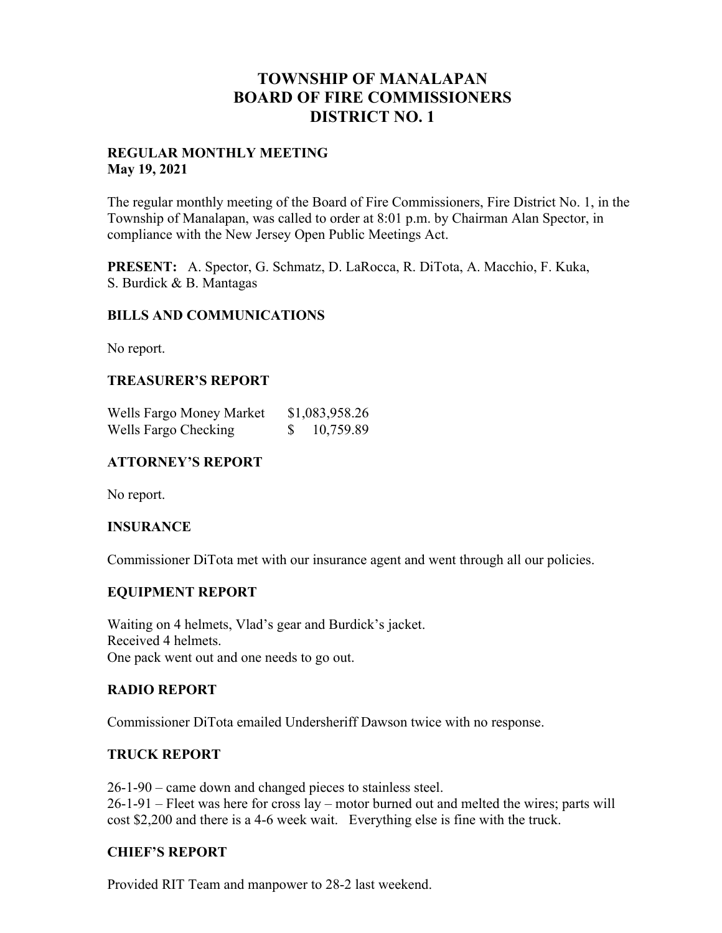# **TOWNSHIP OF MANALAPAN BOARD OF FIRE COMMISSIONERS DISTRICT NO. 1**

#### **REGULAR MONTHLY MEETING May 19, 2021**

The regular monthly meeting of the Board of Fire Commissioners, Fire District No. 1, in the Township of Manalapan, was called to order at 8:01 p.m. by Chairman Alan Spector, in compliance with the New Jersey Open Public Meetings Act.

**PRESENT:** A. Spector, G. Schmatz, D. LaRocca, R. DiTota, A. Macchio, F. Kuka, S. Burdick & B. Mantagas

#### **BILLS AND COMMUNICATIONS**

No report.

### **TREASURER'S REPORT**

| Wells Fargo Money Market | \$1,083,958.26 |
|--------------------------|----------------|
| Wells Fargo Checking     | 10,759.89      |

## **ATTORNEY'S REPORT**

No report.

#### **INSURANCE**

Commissioner DiTota met with our insurance agent and went through all our policies.

#### **EQUIPMENT REPORT**

Waiting on 4 helmets, Vlad's gear and Burdick's jacket. Received 4 helmets. One pack went out and one needs to go out.

#### **RADIO REPORT**

Commissioner DiTota emailed Undersheriff Dawson twice with no response.

#### **TRUCK REPORT**

26-1-90 – came down and changed pieces to stainless steel. 26-1-91 – Fleet was here for cross lay – motor burned out and melted the wires; parts will cost \$2,200 and there is a 4-6 week wait. Everything else is fine with the truck.

#### **CHIEF'S REPORT**

Provided RIT Team and manpower to 28-2 last weekend.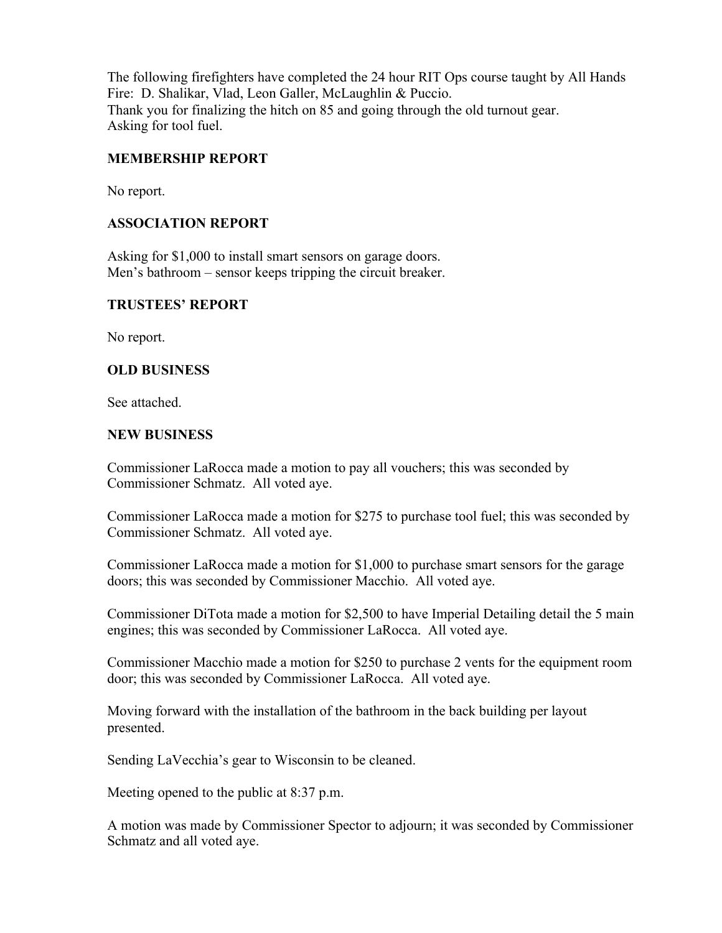The following firefighters have completed the 24 hour RIT Ops course taught by All Hands Fire: D. Shalikar, Vlad, Leon Galler, McLaughlin & Puccio. Thank you for finalizing the hitch on 85 and going through the old turnout gear. Asking for tool fuel.

## **MEMBERSHIP REPORT**

No report.

#### **ASSOCIATION REPORT**

Asking for \$1,000 to install smart sensors on garage doors. Men's bathroom – sensor keeps tripping the circuit breaker.

#### **TRUSTEES' REPORT**

No report.

#### **OLD BUSINESS**

See attached.

#### **NEW BUSINESS**

Commissioner LaRocca made a motion to pay all vouchers; this was seconded by Commissioner Schmatz. All voted aye.

Commissioner LaRocca made a motion for \$275 to purchase tool fuel; this was seconded by Commissioner Schmatz. All voted aye.

Commissioner LaRocca made a motion for \$1,000 to purchase smart sensors for the garage doors; this was seconded by Commissioner Macchio. All voted aye.

Commissioner DiTota made a motion for \$2,500 to have Imperial Detailing detail the 5 main engines; this was seconded by Commissioner LaRocca. All voted aye.

Commissioner Macchio made a motion for \$250 to purchase 2 vents for the equipment room door; this was seconded by Commissioner LaRocca. All voted aye.

Moving forward with the installation of the bathroom in the back building per layout presented.

Sending LaVecchia's gear to Wisconsin to be cleaned.

Meeting opened to the public at 8:37 p.m.

A motion was made by Commissioner Spector to adjourn; it was seconded by Commissioner Schmatz and all voted aye.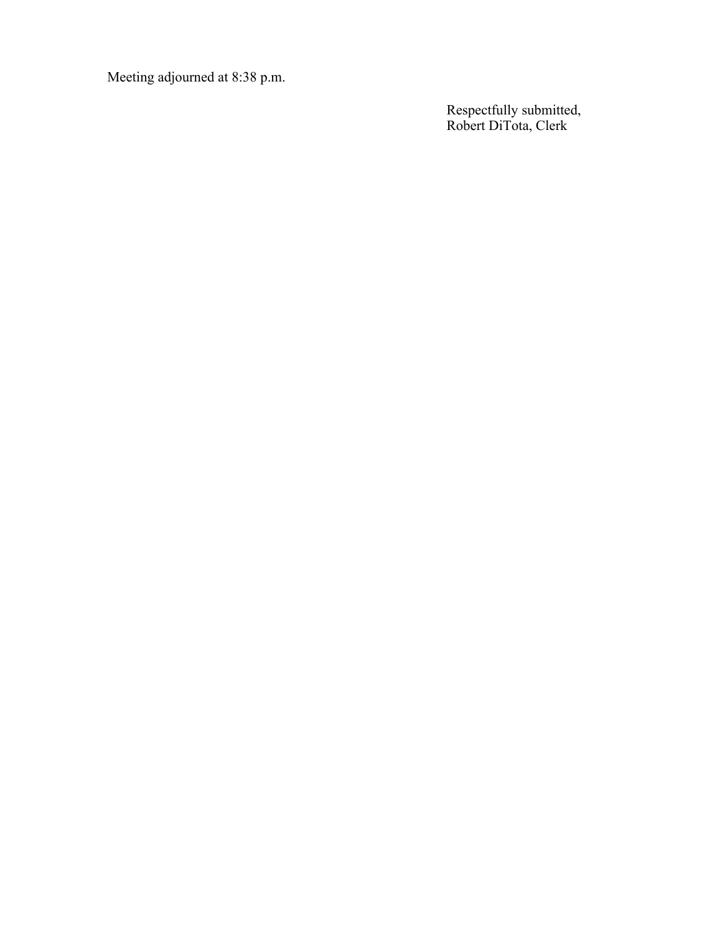Meeting adjourned at 8:38 p.m.

Respectfully submitted, Robert DiTota, Clerk